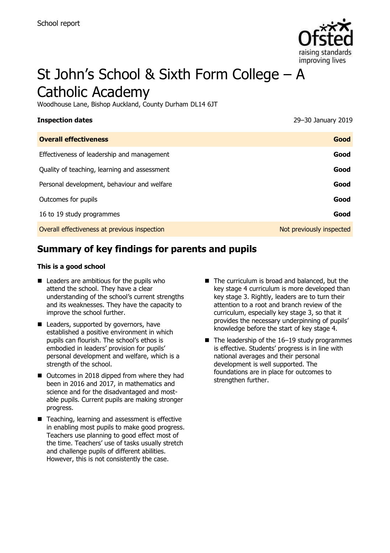

# St John's School & Sixth Form College – A Catholic Academy

Woodhouse Lane, Bishop Auckland, County Durham DL14 6JT

| <b>Inspection dates</b>                      | 29-30 January 2019       |
|----------------------------------------------|--------------------------|
| <b>Overall effectiveness</b>                 | Good                     |
| Effectiveness of leadership and management   | Good                     |
| Quality of teaching, learning and assessment | Good                     |
| Personal development, behaviour and welfare  | Good                     |
| Outcomes for pupils                          | Good                     |
| 16 to 19 study programmes                    | Good                     |
| Overall effectiveness at previous inspection | Not previously inspected |

# **Summary of key findings for parents and pupils**

### **This is a good school**

- Leaders are ambitious for the pupils who attend the school. They have a clear understanding of the school's current strengths and its weaknesses. They have the capacity to improve the school further.
- Leaders, supported by governors, have established a positive environment in which pupils can flourish. The school's ethos is embodied in leaders' provision for pupils' personal development and welfare, which is a strength of the school.
- Outcomes in 2018 dipped from where they had been in 2016 and 2017, in mathematics and science and for the disadvantaged and mostable pupils. Current pupils are making stronger progress.
- Teaching, learning and assessment is effective in enabling most pupils to make good progress. Teachers use planning to good effect most of the time. Teachers' use of tasks usually stretch and challenge pupils of different abilities. However, this is not consistently the case.
- The curriculum is broad and balanced, but the key stage 4 curriculum is more developed than key stage 3. Rightly, leaders are to turn their attention to a root and branch review of the curriculum, especially key stage 3, so that it provides the necessary underpinning of pupils' knowledge before the start of key stage 4.
- $\blacksquare$  The leadership of the 16-19 study programmes is effective. Students' progress is in line with national averages and their personal development is well supported. The foundations are in place for outcomes to strengthen further.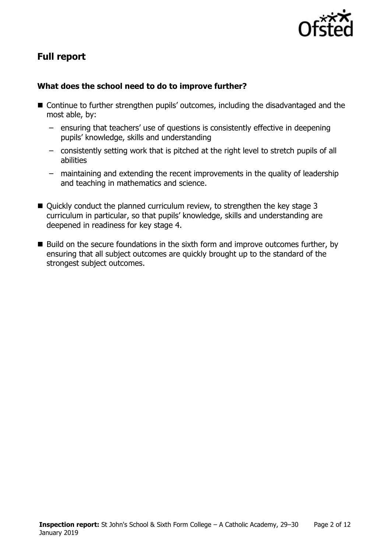

# **Full report**

### **What does the school need to do to improve further?**

- Continue to further strengthen pupils' outcomes, including the disadvantaged and the most able, by:
	- ensuring that teachers' use of questions is consistently effective in deepening pupils' knowledge, skills and understanding
	- consistently setting work that is pitched at the right level to stretch pupils of all abilities
	- maintaining and extending the recent improvements in the quality of leadership and teaching in mathematics and science.
- Quickly conduct the planned curriculum review, to strengthen the key stage 3 curriculum in particular, so that pupils' knowledge, skills and understanding are deepened in readiness for key stage 4.
- Build on the secure foundations in the sixth form and improve outcomes further, by ensuring that all subject outcomes are quickly brought up to the standard of the strongest subject outcomes.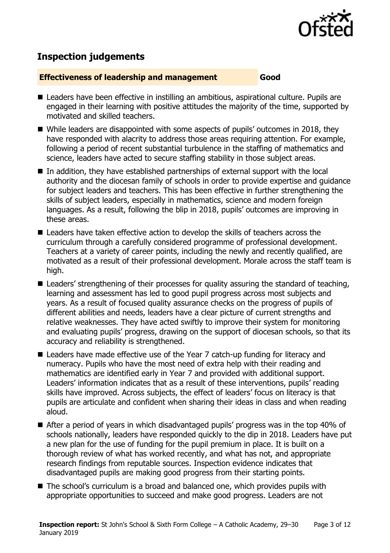

# **Inspection judgements**

### **Effectiveness of leadership and management Good**

- Leaders have been effective in instilling an ambitious, aspirational culture. Pupils are engaged in their learning with positive attitudes the majority of the time, supported by motivated and skilled teachers.
- While leaders are disappointed with some aspects of pupils' outcomes in 2018, they have responded with alacrity to address those areas requiring attention. For example, following a period of recent substantial turbulence in the staffing of mathematics and science, leaders have acted to secure staffing stability in those subject areas.
- $\blacksquare$  In addition, they have established partnerships of external support with the local authority and the diocesan family of schools in order to provide expertise and guidance for subject leaders and teachers. This has been effective in further strengthening the skills of subject leaders, especially in mathematics, science and modern foreign languages. As a result, following the blip in 2018, pupils' outcomes are improving in these areas.
- Leaders have taken effective action to develop the skills of teachers across the curriculum through a carefully considered programme of professional development. Teachers at a variety of career points, including the newly and recently qualified, are motivated as a result of their professional development. Morale across the staff team is high.
- **Leaders' strengthening of their processes for quality assuring the standard of teaching,** learning and assessment has led to good pupil progress across most subjects and years. As a result of focused quality assurance checks on the progress of pupils of different abilities and needs, leaders have a clear picture of current strengths and relative weaknesses. They have acted swiftly to improve their system for monitoring and evaluating pupils' progress, drawing on the support of diocesan schools, so that its accuracy and reliability is strengthened.
- Leaders have made effective use of the Year 7 catch-up funding for literacy and numeracy. Pupils who have the most need of extra help with their reading and mathematics are identified early in Year 7 and provided with additional support. Leaders' information indicates that as a result of these interventions, pupils' reading skills have improved. Across subjects, the effect of leaders' focus on literacy is that pupils are articulate and confident when sharing their ideas in class and when reading aloud.
- After a period of years in which disadvantaged pupils' progress was in the top 40% of schools nationally, leaders have responded quickly to the dip in 2018. Leaders have put a new plan for the use of funding for the pupil premium in place. It is built on a thorough review of what has worked recently, and what has not, and appropriate research findings from reputable sources. Inspection evidence indicates that disadvantaged pupils are making good progress from their starting points.
- The school's curriculum is a broad and balanced one, which provides pupils with appropriate opportunities to succeed and make good progress. Leaders are not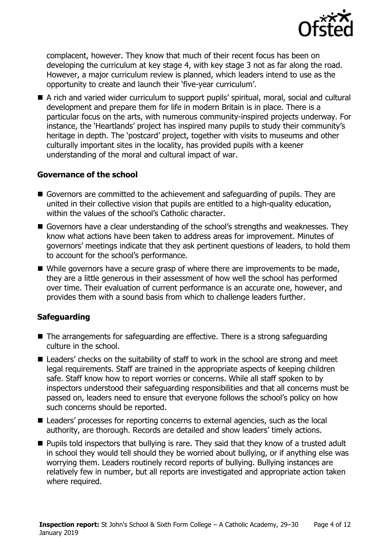

complacent, however. They know that much of their recent focus has been on developing the curriculum at key stage 4, with key stage 3 not as far along the road. However, a major curriculum review is planned, which leaders intend to use as the opportunity to create and launch their 'five-year curriculum'.

 A rich and varied wider curriculum to support pupils' spiritual, moral, social and cultural development and prepare them for life in modern Britain is in place. There is a particular focus on the arts, with numerous community-inspired projects underway. For instance, the 'Heartlands' project has inspired many pupils to study their community's heritage in depth. The 'postcard' project, together with visits to museums and other culturally important sites in the locality, has provided pupils with a keener understanding of the moral and cultural impact of war.

### **Governance of the school**

- Governors are committed to the achievement and safeguarding of pupils. They are united in their collective vision that pupils are entitled to a high-quality education, within the values of the school's Catholic character.
- Governors have a clear understanding of the school's strengths and weaknesses. They know what actions have been taken to address areas for improvement. Minutes of governors' meetings indicate that they ask pertinent questions of leaders, to hold them to account for the school's performance.
- While governors have a secure grasp of where there are improvements to be made, they are a little generous in their assessment of how well the school has performed over time. Their evaluation of current performance is an accurate one, however, and provides them with a sound basis from which to challenge leaders further.

### **Safeguarding**

- The arrangements for safeguarding are effective. There is a strong safeguarding culture in the school.
- Leaders' checks on the suitability of staff to work in the school are strong and meet legal requirements. Staff are trained in the appropriate aspects of keeping children safe. Staff know how to report worries or concerns. While all staff spoken to by inspectors understood their safeguarding responsibilities and that all concerns must be passed on, leaders need to ensure that everyone follows the school's policy on how such concerns should be reported.
- Leaders' processes for reporting concerns to external agencies, such as the local authority, are thorough. Records are detailed and show leaders' timely actions.
- **Pupils told inspectors that bullying is rare. They said that they know of a trusted adult** in school they would tell should they be worried about bullying, or if anything else was worrying them. Leaders routinely record reports of bullying. Bullying instances are relatively few in number, but all reports are investigated and appropriate action taken where required.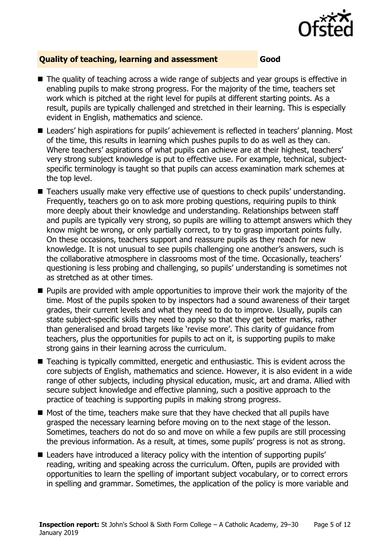

### **Quality of teaching, learning and assessment Good**

- The quality of teaching across a wide range of subjects and year groups is effective in enabling pupils to make strong progress. For the majority of the time, teachers set work which is pitched at the right level for pupils at different starting points. As a result, pupils are typically challenged and stretched in their learning. This is especially evident in English, mathematics and science.
- Leaders' high aspirations for pupils' achievement is reflected in teachers' planning. Most of the time, this results in learning which pushes pupils to do as well as they can. Where teachers' aspirations of what pupils can achieve are at their highest, teachers' very strong subject knowledge is put to effective use. For example, technical, subjectspecific terminology is taught so that pupils can access examination mark schemes at the top level.
- Teachers usually make very effective use of questions to check pupils' understanding. Frequently, teachers go on to ask more probing questions, requiring pupils to think more deeply about their knowledge and understanding. Relationships between staff and pupils are typically very strong, so pupils are willing to attempt answers which they know might be wrong, or only partially correct, to try to grasp important points fully. On these occasions, teachers support and reassure pupils as they reach for new knowledge. It is not unusual to see pupils challenging one another's answers, such is the collaborative atmosphere in classrooms most of the time. Occasionally, teachers' questioning is less probing and challenging, so pupils' understanding is sometimes not as stretched as at other times.
- **Pupils are provided with ample opportunities to improve their work the majority of the** time. Most of the pupils spoken to by inspectors had a sound awareness of their target grades, their current levels and what they need to do to improve. Usually, pupils can state subject-specific skills they need to apply so that they get better marks, rather than generalised and broad targets like 'revise more'. This clarity of guidance from teachers, plus the opportunities for pupils to act on it, is supporting pupils to make strong gains in their learning across the curriculum.
- Teaching is typically committed, energetic and enthusiastic. This is evident across the core subjects of English, mathematics and science. However, it is also evident in a wide range of other subjects, including physical education, music, art and drama. Allied with secure subject knowledge and effective planning, such a positive approach to the practice of teaching is supporting pupils in making strong progress.
- $\blacksquare$  Most of the time, teachers make sure that they have checked that all pupils have grasped the necessary learning before moving on to the next stage of the lesson. Sometimes, teachers do not do so and move on while a few pupils are still processing the previous information. As a result, at times, some pupils' progress is not as strong.
- Leaders have introduced a literacy policy with the intention of supporting pupils' reading, writing and speaking across the curriculum. Often, pupils are provided with opportunities to learn the spelling of important subject vocabulary, or to correct errors in spelling and grammar. Sometimes, the application of the policy is more variable and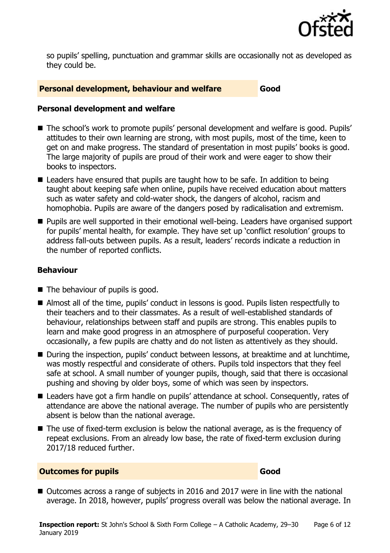

so pupils' spelling, punctuation and grammar skills are occasionally not as developed as they could be.

### **Personal development, behaviour and welfare Good**

### **Personal development and welfare**

- The school's work to promote pupils' personal development and welfare is good. Pupils' attitudes to their own learning are strong, with most pupils, most of the time, keen to get on and make progress. The standard of presentation in most pupils' books is good. The large majority of pupils are proud of their work and were eager to show their books to inspectors.
- Leaders have ensured that pupils are taught how to be safe. In addition to being taught about keeping safe when online, pupils have received education about matters such as water safety and cold-water shock, the dangers of alcohol, racism and homophobia. Pupils are aware of the dangers posed by radicalisation and extremism.
- Pupils are well supported in their emotional well-being. Leaders have organised support for pupils' mental health, for example. They have set up 'conflict resolution' groups to address fall-outs between pupils. As a result, leaders' records indicate a reduction in the number of reported conflicts.

### **Behaviour**

- $\blacksquare$  The behaviour of pupils is good.
- Almost all of the time, pupils' conduct in lessons is good. Pupils listen respectfully to their teachers and to their classmates. As a result of well-established standards of behaviour, relationships between staff and pupils are strong. This enables pupils to learn and make good progress in an atmosphere of purposeful cooperation. Very occasionally, a few pupils are chatty and do not listen as attentively as they should.
- During the inspection, pupils' conduct between lessons, at breaktime and at lunchtime, was mostly respectful and considerate of others. Pupils told inspectors that they feel safe at school. A small number of younger pupils, though, said that there is occasional pushing and shoving by older boys, some of which was seen by inspectors.
- Leaders have got a firm handle on pupils' attendance at school. Consequently, rates of attendance are above the national average. The number of pupils who are persistently absent is below than the national average.
- The use of fixed-term exclusion is below the national average, as is the frequency of repeat exclusions. From an already low base, the rate of fixed-term exclusion during 2017/18 reduced further.

### **Outcomes for pupils Good**

■ Outcomes across a range of subjects in 2016 and 2017 were in line with the national average. In 2018, however, pupils' progress overall was below the national average. In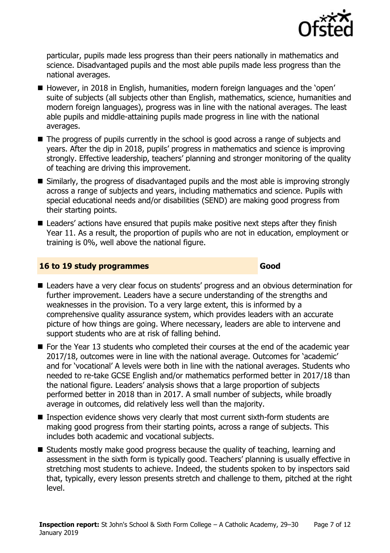

particular, pupils made less progress than their peers nationally in mathematics and science. Disadvantaged pupils and the most able pupils made less progress than the national averages.

- However, in 2018 in English, humanities, modern foreign languages and the 'open' suite of subjects (all subjects other than English, mathematics, science, humanities and modern foreign languages), progress was in line with the national averages. The least able pupils and middle-attaining pupils made progress in line with the national averages.
- The progress of pupils currently in the school is good across a range of subjects and years. After the dip in 2018, pupils' progress in mathematics and science is improving strongly. Effective leadership, teachers' planning and stronger monitoring of the quality of teaching are driving this improvement.
- Similarly, the progress of disadvantaged pupils and the most able is improving strongly across a range of subjects and years, including mathematics and science. Pupils with special educational needs and/or disabilities (SEND) are making good progress from their starting points.
- Leaders' actions have ensured that pupils make positive next steps after they finish Year 11. As a result, the proportion of pupils who are not in education, employment or training is 0%, well above the national figure.

### **16 to 19 study programmes Good**

- Leaders have a very clear focus on students' progress and an obvious determination for further improvement. Leaders have a secure understanding of the strengths and weaknesses in the provision. To a very large extent, this is informed by a comprehensive quality assurance system, which provides leaders with an accurate picture of how things are going. Where necessary, leaders are able to intervene and support students who are at risk of falling behind.
- $\blacksquare$  For the Year 13 students who completed their courses at the end of the academic vear 2017/18, outcomes were in line with the national average. Outcomes for 'academic' and for 'vocational' A levels were both in line with the national averages. Students who needed to re-take GCSE English and/or mathematics performed better in 2017/18 than the national figure. Leaders' analysis shows that a large proportion of subjects performed better in 2018 than in 2017. A small number of subjects, while broadly average in outcomes, did relatively less well than the majority.
- Inspection evidence shows very clearly that most current sixth-form students are making good progress from their starting points, across a range of subjects. This includes both academic and vocational subjects.
- Students mostly make good progress because the quality of teaching, learning and assessment in the sixth form is typically good. Teachers' planning is usually effective in stretching most students to achieve. Indeed, the students spoken to by inspectors said that, typically, every lesson presents stretch and challenge to them, pitched at the right level.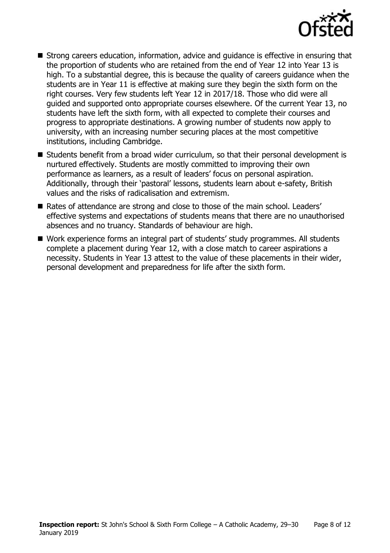

- Strong careers education, information, advice and guidance is effective in ensuring that the proportion of students who are retained from the end of Year 12 into Year 13 is high. To a substantial degree, this is because the quality of careers guidance when the students are in Year 11 is effective at making sure they begin the sixth form on the right courses. Very few students left Year 12 in 2017/18. Those who did were all guided and supported onto appropriate courses elsewhere. Of the current Year 13, no students have left the sixth form, with all expected to complete their courses and progress to appropriate destinations. A growing number of students now apply to university, with an increasing number securing places at the most competitive institutions, including Cambridge.
- Students benefit from a broad wider curriculum, so that their personal development is nurtured effectively. Students are mostly committed to improving their own performance as learners, as a result of leaders' focus on personal aspiration. Additionally, through their 'pastoral' lessons, students learn about e-safety, British values and the risks of radicalisation and extremism.
- Rates of attendance are strong and close to those of the main school. Leaders' effective systems and expectations of students means that there are no unauthorised absences and no truancy. Standards of behaviour are high.
- Work experience forms an integral part of students' study programmes. All students complete a placement during Year 12, with a close match to career aspirations a necessity. Students in Year 13 attest to the value of these placements in their wider, personal development and preparedness for life after the sixth form.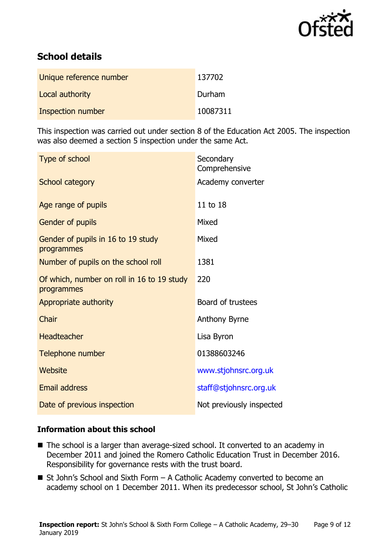

# **School details**

| Unique reference number | 137702   |
|-------------------------|----------|
| Local authority         | Durham   |
| Inspection number       | 10087311 |

This inspection was carried out under section 8 of the Education Act 2005. The inspection was also deemed a section 5 inspection under the same Act.

| Type of school                                           | Secondary<br>Comprehensive |
|----------------------------------------------------------|----------------------------|
| <b>School category</b>                                   | Academy converter          |
| Age range of pupils                                      | 11 to 18                   |
| Gender of pupils                                         | Mixed                      |
| Gender of pupils in 16 to 19 study<br>programmes         | Mixed                      |
| Number of pupils on the school roll                      | 1381                       |
| Of which, number on roll in 16 to 19 study<br>programmes | 220                        |
| Appropriate authority                                    | Board of trustees          |
| Chair                                                    | <b>Anthony Byrne</b>       |
| Headteacher                                              | Lisa Byron                 |
| Telephone number                                         | 01388603246                |
| Website                                                  | www.stjohnsrc.org.uk       |
| <b>Email address</b>                                     | staff@stjohnsrc.org.uk     |
| Date of previous inspection                              | Not previously inspected   |
|                                                          |                            |

### **Information about this school**

- The school is a larger than average-sized school. It converted to an academy in December 2011 and joined the Romero Catholic Education Trust in December 2016. Responsibility for governance rests with the trust board.
- $\blacksquare$  St John's School and Sixth Form A Catholic Academy converted to become an academy school on 1 December 2011. When its predecessor school, St John's Catholic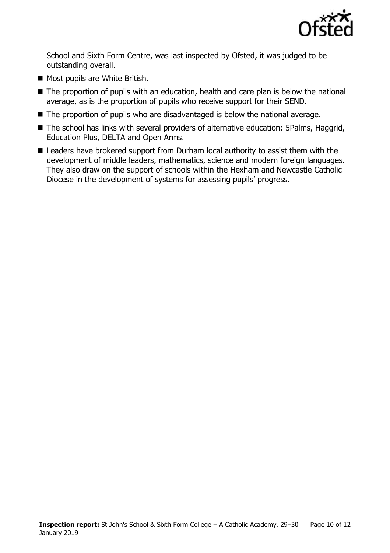

School and Sixth Form Centre, was last inspected by Ofsted, it was judged to be outstanding overall.

- Most pupils are White British.
- The proportion of pupils with an education, health and care plan is below the national average, as is the proportion of pupils who receive support for their SEND.
- The proportion of pupils who are disadvantaged is below the national average.
- The school has links with several providers of alternative education: 5Palms, Haggrid, Education Plus, DELTA and Open Arms.
- Leaders have brokered support from Durham local authority to assist them with the development of middle leaders, mathematics, science and modern foreign languages. They also draw on the support of schools within the Hexham and Newcastle Catholic Diocese in the development of systems for assessing pupils' progress.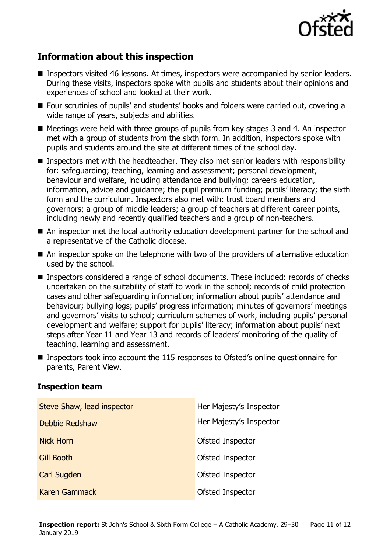

# **Information about this inspection**

- Inspectors visited 46 lessons. At times, inspectors were accompanied by senior leaders. During these visits, inspectors spoke with pupils and students about their opinions and experiences of school and looked at their work.
- Four scrutinies of pupils' and students' books and folders were carried out, covering a wide range of years, subjects and abilities.
- $\blacksquare$  Meetings were held with three groups of pupils from key stages 3 and 4. An inspector met with a group of students from the sixth form. In addition, inspectors spoke with pupils and students around the site at different times of the school day.
- **Inspectors met with the headteacher. They also met senior leaders with responsibility** for: safeguarding; teaching, learning and assessment; personal development, behaviour and welfare, including attendance and bullying; careers education, information, advice and guidance; the pupil premium funding; pupils' literacy; the sixth form and the curriculum. Inspectors also met with: trust board members and governors; a group of middle leaders; a group of teachers at different career points, including newly and recently qualified teachers and a group of non-teachers.
- An inspector met the local authority education development partner for the school and a representative of the Catholic diocese.
- An inspector spoke on the telephone with two of the providers of alternative education used by the school.
- Inspectors considered a range of school documents. These included: records of checks undertaken on the suitability of staff to work in the school; records of child protection cases and other safeguarding information; information about pupils' attendance and behaviour; bullying logs; pupils' progress information; minutes of governors' meetings and governors' visits to school; curriculum schemes of work, including pupils' personal development and welfare; support for pupils' literacy; information about pupils' next steps after Year 11 and Year 13 and records of leaders' monitoring of the quality of teaching, learning and assessment.
- Inspectors took into account the 115 responses to Ofsted's online questionnaire for parents, Parent View.

### **Inspection team**

| Steve Shaw, lead inspector | Her Majesty's Inspector |
|----------------------------|-------------------------|
| Debbie Redshaw             | Her Majesty's Inspector |
| <b>Nick Horn</b>           | <b>Ofsted Inspector</b> |
| <b>Gill Booth</b>          | Ofsted Inspector        |
| <b>Carl Sugden</b>         | Ofsted Inspector        |
| <b>Karen Gammack</b>       | <b>Ofsted Inspector</b> |